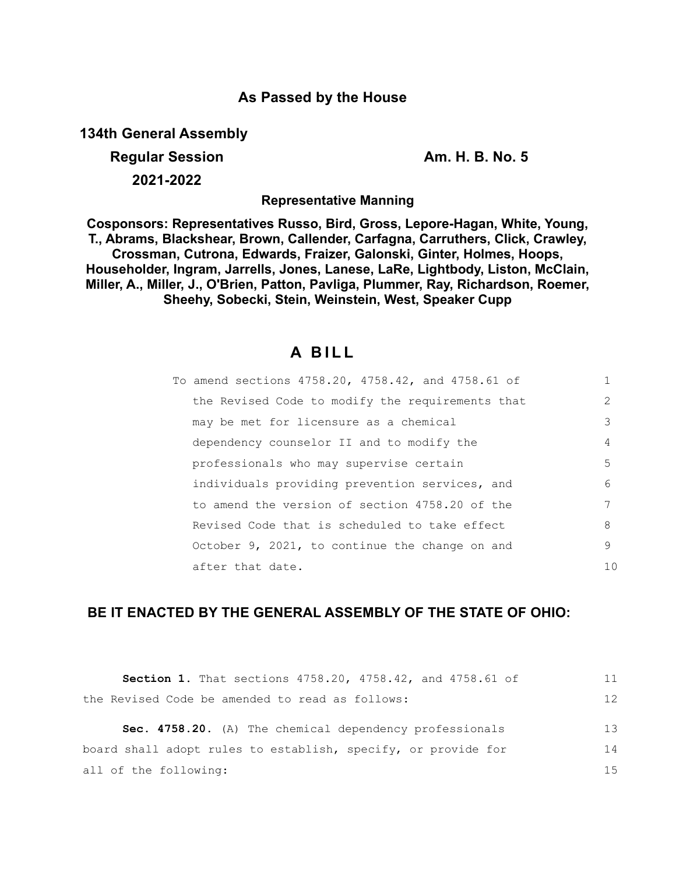# **As Passed by the House**

**134th General Assembly**

# **Regular Session Am. H. B. No. 5**

**2021-2022**

**Representative Manning**

**Cosponsors: Representatives Russo, Bird, Gross, Lepore-Hagan, White, Young, T., Abrams, Blackshear, Brown, Callender, Carfagna, Carruthers, Click, Crawley, Crossman, Cutrona, Edwards, Fraizer, Galonski, Ginter, Holmes, Hoops, Householder, Ingram, Jarrells, Jones, Lanese, LaRe, Lightbody, Liston, McClain, Miller, A., Miller, J., O'Brien, Patton, Pavliga, Plummer, Ray, Richardson, Roemer, Sheehy, Sobecki, Stein, Weinstein, West, Speaker Cupp**

# **A B I L L**

| To amend sections 4758.20, 4758.42, and 4758.61 of |               |
|----------------------------------------------------|---------------|
| the Revised Code to modify the requirements that   | $\mathcal{L}$ |
| may be met for licensure as a chemical             | 3             |
| dependency counselor II and to modify the          | 4             |
| professionals who may supervise certain            | .5            |
| individuals providing prevention services, and     | 6             |
| to amend the version of section 4758.20 of the     | 7             |
| Revised Code that is scheduled to take effect      | 8             |
| October 9, 2021, to continue the change on and     | 9             |
| after that date.                                   | 1 O           |

# **BE IT ENACTED BY THE GENERAL ASSEMBLY OF THE STATE OF OHIO:**

| Section 1. That sections 4758.20, 4758.42, and 4758.61 of     | 11 |
|---------------------------------------------------------------|----|
| the Revised Code be amended to read as follows:               | 12 |
| Sec. 4758.20. (A) The chemical dependency professionals       | 13 |
| board shall adopt rules to establish, specify, or provide for | 14 |
| all of the following:                                         | 15 |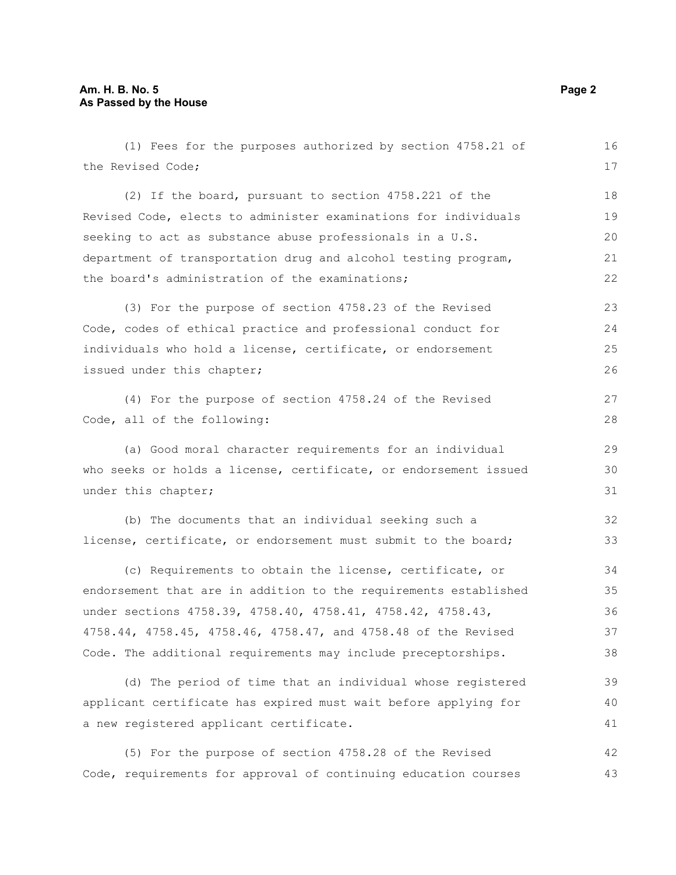(1) Fees for the purposes authorized by section 4758.21 of the Revised Code; (2) If the board, pursuant to section 4758.221 of the Revised Code, elects to administer examinations for individuals seeking to act as substance abuse professionals in a U.S. department of transportation drug and alcohol testing program, the board's administration of the examinations; (3) For the purpose of section 4758.23 of the Revised Code, codes of ethical practice and professional conduct for individuals who hold a license, certificate, or endorsement issued under this chapter; (4) For the purpose of section 4758.24 of the Revised Code, all of the following: (a) Good moral character requirements for an individual who seeks or holds a license, certificate, or endorsement issued under this chapter; (b) The documents that an individual seeking such a license, certificate, or endorsement must submit to the board; (c) Requirements to obtain the license, certificate, or endorsement that are in addition to the requirements established under sections 4758.39, 4758.40, 4758.41, 4758.42, 4758.43, 4758.44, 4758.45, 4758.46, 4758.47, and 4758.48 of the Revised Code. The additional requirements may include preceptorships. (d) The period of time that an individual whose registered applicant certificate has expired must wait before applying for a new registered applicant certificate. (5) For the purpose of section 4758.28 of the Revised 16 17 18 19 20 21 22 23 24 25 26 27 28 29 30 31 32 33 34 35 36 37 38 39 40 41 42

Code, requirements for approval of continuing education courses 43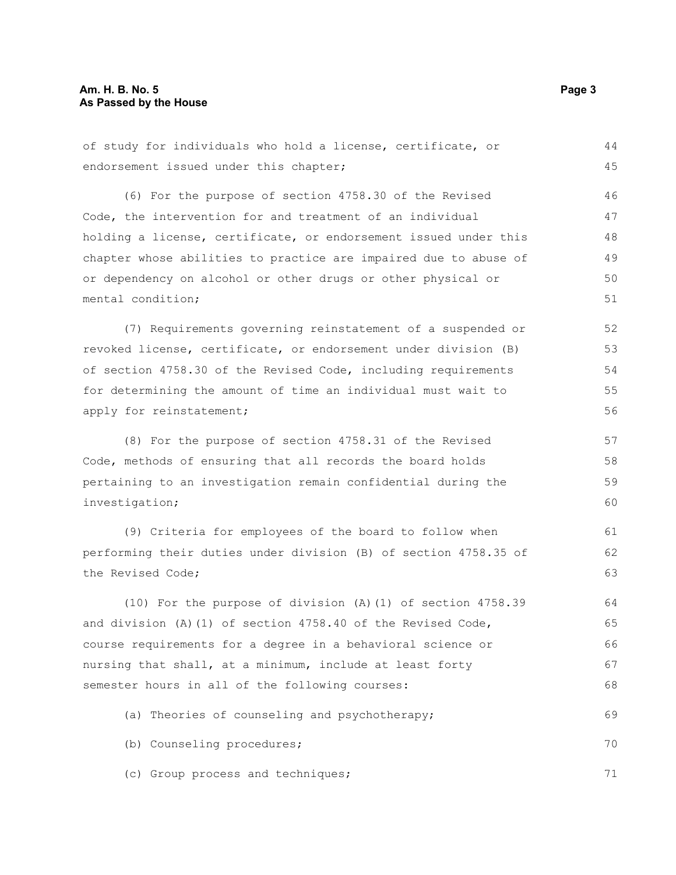of study for individuals who hold a license, certificate, or endorsement issued under this chapter; (6) For the purpose of section 4758.30 of the Revised Code, the intervention for and treatment of an individual holding a license, certificate, or endorsement issued under this chapter whose abilities to practice are impaired due to abuse of or dependency on alcohol or other drugs or other physical or mental condition; (7) Requirements governing reinstatement of a suspended or revoked license, certificate, or endorsement under division (B) of section 4758.30 of the Revised Code, including requirements for determining the amount of time an individual must wait to apply for reinstatement; (8) For the purpose of section 4758.31 of the Revised Code, methods of ensuring that all records the board holds pertaining to an investigation remain confidential during the investigation; (9) Criteria for employees of the board to follow when performing their duties under division (B) of section 4758.35 of the Revised Code; (10) For the purpose of division (A)(1) of section 4758.39 and division (A)(1) of section  $4758.40$  of the Revised Code, course requirements for a degree in a behavioral science or nursing that shall, at a minimum, include at least forty semester hours in all of the following courses: 44 45 46 47 48 49 50 51 52 53 54 55 56 57 58 59 60 61 62 63 64 65 66 67 68

(a) Theories of counseling and psychotherapy; 69

(b) Counseling procedures; 70

(c) Group process and techniques;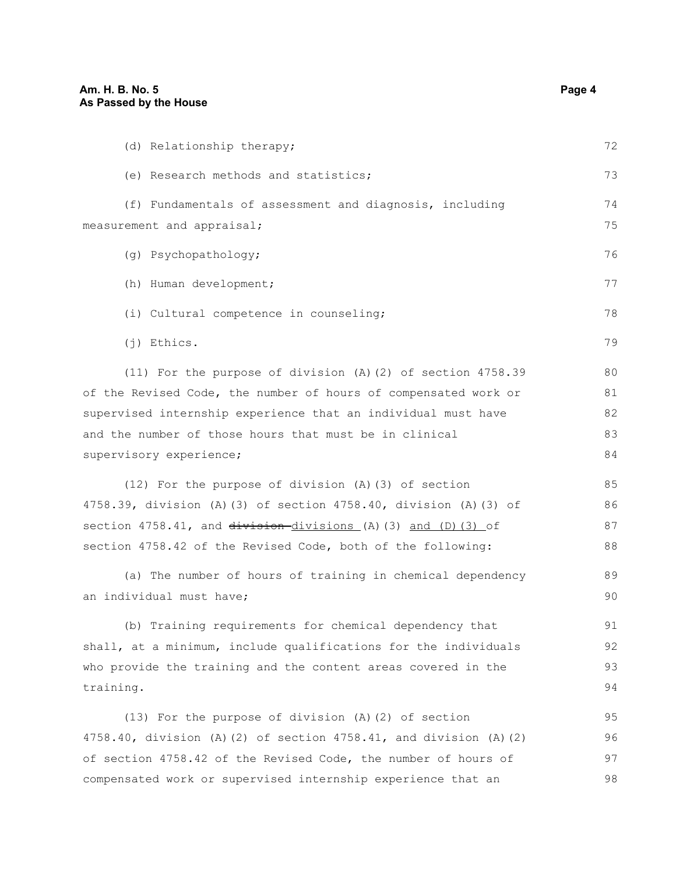| (d) Relationship therapy;                                             | 72 |
|-----------------------------------------------------------------------|----|
| (e) Research methods and statistics;                                  | 73 |
| (f) Fundamentals of assessment and diagnosis, including               | 74 |
| measurement and appraisal;                                            | 75 |
| (g) Psychopathology;                                                  | 76 |
| (h) Human development;                                                | 77 |
| (i) Cultural competence in counseling;                                | 78 |
| $(j)$ Ethics.                                                         | 79 |
| (11) For the purpose of division (A)(2) of section $4758.39$          | 80 |
| of the Revised Code, the number of hours of compensated work or       | 81 |
| supervised internship experience that an individual must have         | 82 |
| and the number of those hours that must be in clinical                | 83 |
| supervisory experience;                                               | 84 |
| (12) For the purpose of division (A) (3) of section                   | 85 |
| 4758.39, division (A) (3) of section 4758.40, division (A) (3) of     | 86 |
| section 4758.41, and division-divisions (A) (3) and (D) (3) of        | 87 |
| section 4758.42 of the Revised Code, both of the following:           | 88 |
| (a) The number of hours of training in chemical dependency            | 89 |
| an individual must have;                                              | 90 |
| (b) Training requirements for chemical dependency that                | 91 |
| shall, at a minimum, include qualifications for the individuals       | 92 |
| who provide the training and the content areas covered in the         | 93 |
| training.                                                             | 94 |
| (13) For the purpose of division (A)(2) of section                    | 95 |
| 4758.40, division (A) (2) of section $4758.41$ , and division (A) (2) | 96 |
| of section 4758.42 of the Revised Code, the number of hours of        | 97 |

compensated work or supervised internship experience that an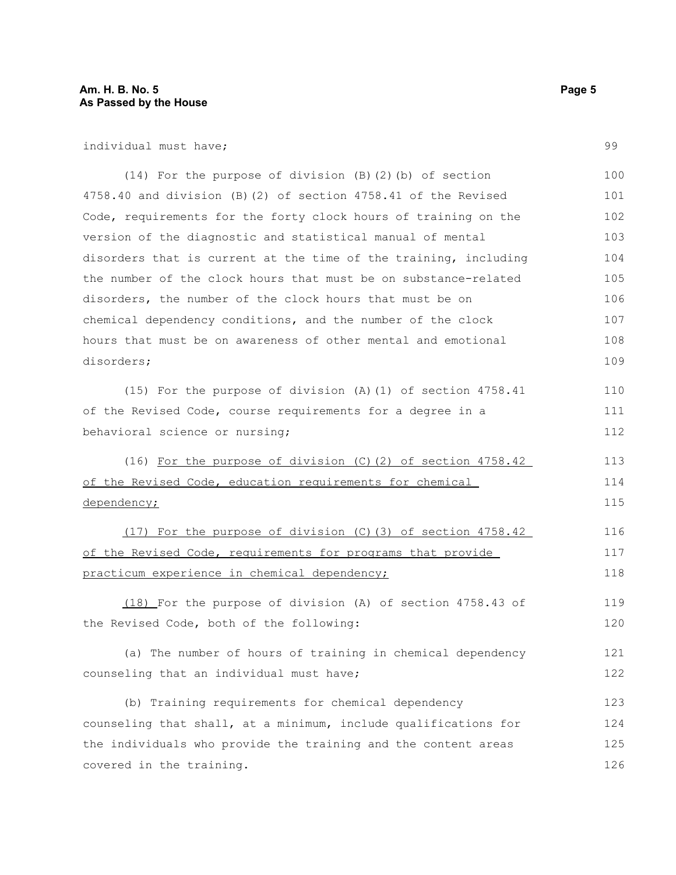individual must have;

(14) For the purpose of division (B)(2)(b) of section 4758.40 and division (B)(2) of section 4758.41 of the Revised Code, requirements for the forty clock hours of training on the version of the diagnostic and statistical manual of mental disorders that is current at the time of the training, including the number of the clock hours that must be on substance-related disorders, the number of the clock hours that must be on chemical dependency conditions, and the number of the clock hours that must be on awareness of other mental and emotional disorders; 100 101 102 103 104 105 106 107 108 109

(15) For the purpose of division (A)(1) of section 4758.41 of the Revised Code, course requirements for a degree in a behavioral science or nursing; 110 111 112

(16) For the purpose of division (C)(2) of section 4758.42 of the Revised Code, education requirements for chemical dependency; 113 114 115

(17) For the purpose of division (C)(3) of section 4758.42 of the Revised Code, requirements for programs that provide practicum experience in chemical dependency; 116 117 118

(18) For the purpose of division (A) of section 4758.43 of the Revised Code, both of the following: 119 120

(a) The number of hours of training in chemical dependency counseling that an individual must have; 121 122

(b) Training requirements for chemical dependency counseling that shall, at a minimum, include qualifications for the individuals who provide the training and the content areas covered in the training. 123 124 125 126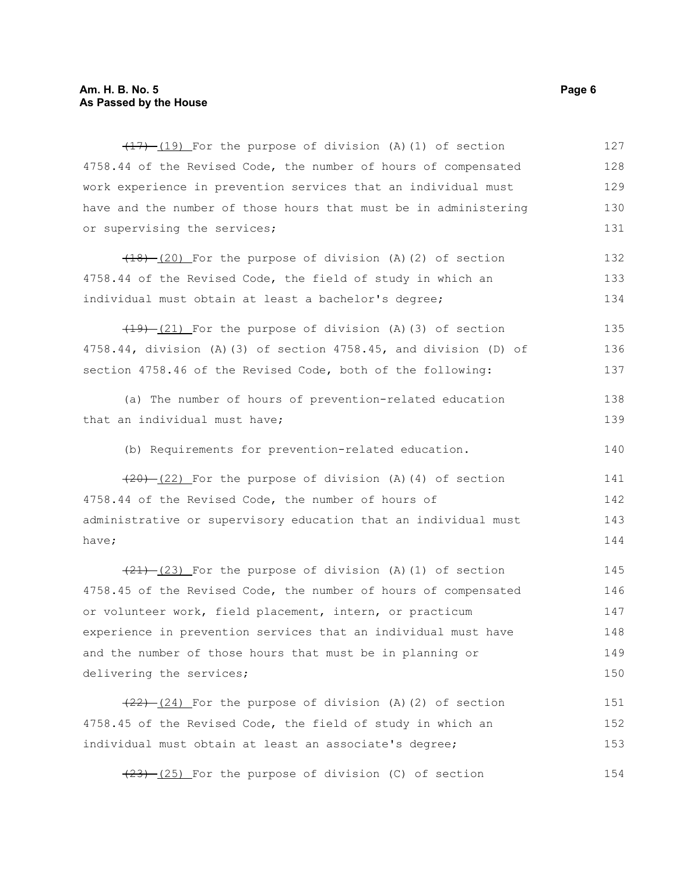#### **Am. H. B. No. 5 Page 6 As Passed by the House**

 $(17)$   $(19)$  For the purpose of division (A)(1) of section 4758.44 of the Revised Code, the number of hours of compensated work experience in prevention services that an individual must have and the number of those hours that must be in administering or supervising the services; 127 128 129 130 131

 $(18)$  (20) For the purpose of division (A)(2) of section 4758.44 of the Revised Code, the field of study in which an individual must obtain at least a bachelor's degree; 132 133 134

 $(19)$   $(21)$  For the purpose of division (A)(3) of section 4758.44, division (A)(3) of section 4758.45, and division (D) of section 4758.46 of the Revised Code, both of the following: 135 136 137

```
(a) The number of hours of prevention-related education
that an individual must have;
                                                                            138
                                                                            139
```
(b) Requirements for prevention-related education. 140

 $(20)$   $(22)$  For the purpose of division (A)(4) of section 4758.44 of the Revised Code, the number of hours of administrative or supervisory education that an individual must have; 141 142 143 144

 $(21)$   $(23)$  For the purpose of division (A)(1) of section 4758.45 of the Revised Code, the number of hours of compensated or volunteer work, field placement, intern, or practicum experience in prevention services that an individual must have and the number of those hours that must be in planning or delivering the services; 145 146 147 148 149 150

 $(22)$   $(24)$  For the purpose of division (A)(2) of section 4758.45 of the Revised Code, the field of study in which an individual must obtain at least an associate's degree; 151 152 153

 $(23)$  (25) For the purpose of division (C) of section 154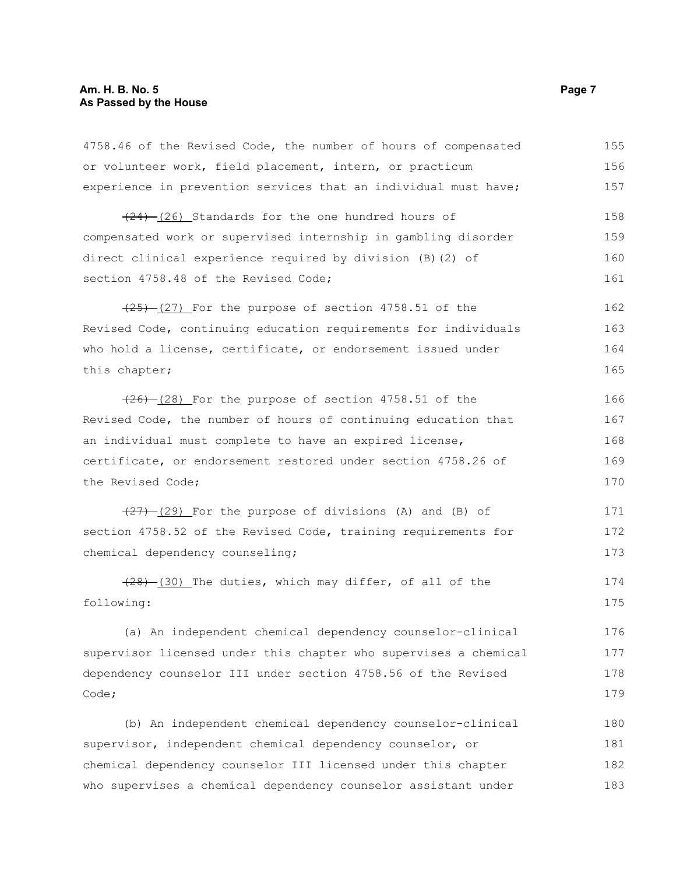4758.46 of the Revised Code, the number of hours of compensated or volunteer work, field placement, intern, or practicum experience in prevention services that an individual must have;  $(24)$  (26) Standards for the one hundred hours of compensated work or supervised internship in gambling disorder direct clinical experience required by division (B)(2) of section 4758.48 of the Revised Code:  $(25)$   $(27)$  For the purpose of section 4758.51 of the Revised Code, continuing education requirements for individuals who hold a license, certificate, or endorsement issued under this chapter;  $(26)$   $(28)$  For the purpose of section 4758.51 of the Revised Code, the number of hours of continuing education that an individual must complete to have an expired license, certificate, or endorsement restored under section 4758.26 of the Revised Code;  $(27)$   $(29)$  For the purpose of divisions (A) and (B) of section 4758.52 of the Revised Code, training requirements for chemical dependency counseling; (28) (30) The duties, which may differ, of all of the following: (a) An independent chemical dependency counselor-clinical supervisor licensed under this chapter who supervises a chemical dependency counselor III under section 4758.56 of the Revised Code; (b) An independent chemical dependency counselor-clinical supervisor, independent chemical dependency counselor, or chemical dependency counselor III licensed under this chapter who supervises a chemical dependency counselor assistant under 155 156 157 158 159 160 161 162 163 164 165 166 167 168 169 170 171 172 173 174 175 176 177 178 179 180 181 182 183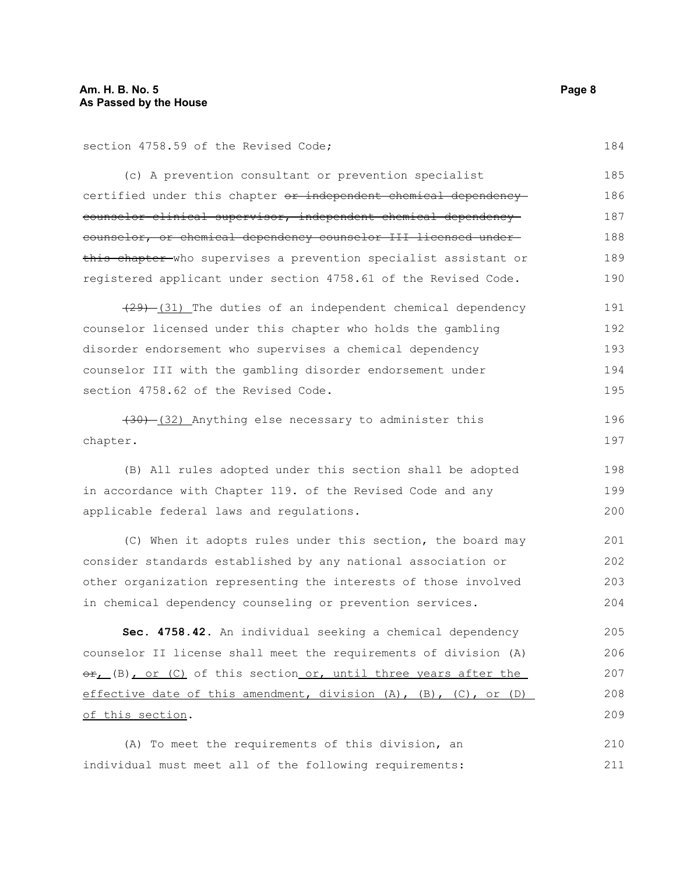section 4758.59 of the Revised Code;

(c) A prevention consultant or prevention specialist certified under this chapter or independent chemical dependency counselor-clinical supervisor, independent chemical dependency counselor, or chemical dependency counselor III licensed under this chapter who supervises a prevention specialist assistant or registered applicant under section 4758.61 of the Revised Code. 185 186 187 188 189 190

 $(29)$   $(31)$  The duties of an independent chemical dependency counselor licensed under this chapter who holds the gambling disorder endorsement who supervises a chemical dependency counselor III with the gambling disorder endorsement under section 4758.62 of the Revised Code. 191 192 193 194 195

(30) (32) Anything else necessary to administer this chapter. 196 197

(B) All rules adopted under this section shall be adopted in accordance with Chapter 119. of the Revised Code and any applicable federal laws and regulations.

(C) When it adopts rules under this section, the board may consider standards established by any national association or other organization representing the interests of those involved in chemical dependency counseling or prevention services. 201 202 203 204

**Sec. 4758.42.** An individual seeking a chemical dependency counselor II license shall meet the requirements of division (A)  $\Theta$ <sub>r</sub> (B), or (C) of this section or, until three years after the effective date of this amendment, division (A), (B), (C), or (D) of this section. 205 206 207 208 209

(A) To meet the requirements of this division, an individual must meet all of the following requirements: 210 211

184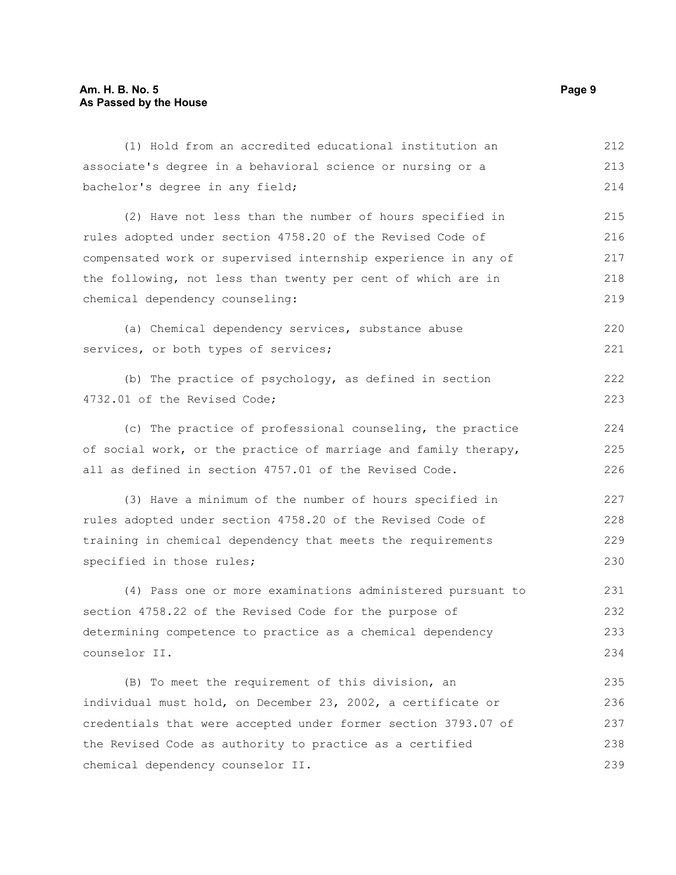## **Am. H. B. No. 5 Page 9 As Passed by the House**

| (1) Hold from an accredited educational institution an          | 212 |
|-----------------------------------------------------------------|-----|
| associate's degree in a behavioral science or nursing or a      | 213 |
| bachelor's degree in any field;                                 | 214 |
| (2) Have not less than the number of hours specified in         | 215 |
| rules adopted under section 4758.20 of the Revised Code of      | 216 |
| compensated work or supervised internship experience in any of  | 217 |
| the following, not less than twenty per cent of which are in    | 218 |
| chemical dependency counseling:                                 | 219 |
| (a) Chemical dependency services, substance abuse               | 220 |
| services, or both types of services;                            | 221 |
| (b) The practice of psychology, as defined in section           | 222 |
| 4732.01 of the Revised Code;                                    | 223 |
| (c) The practice of professional counseling, the practice       | 224 |
| of social work, or the practice of marriage and family therapy, | 225 |
| all as defined in section 4757.01 of the Revised Code.          | 226 |
| (3) Have a minimum of the number of hours specified in          | 227 |
| rules adopted under section 4758.20 of the Revised Code of      | 228 |
| training in chemical dependency that meets the requirements     | 229 |
| specified in those rules;                                       | 230 |
| (4) Pass one or more examinations administered pursuant to      | 231 |
| section 4758.22 of the Revised Code for the purpose of          | 232 |
| determining competence to practice as a chemical dependency     | 233 |
| counselor II.                                                   | 234 |
| (B) To meet the requirement of this division, an                | 235 |
| individual must hold, on December 23, 2002, a certificate or    | 236 |
| credentials that were accepted under former section 3793.07 of  | 237 |
| the Revised Code as authority to practice as a certified        | 238 |
| chemical dependency counselor II.                               | 239 |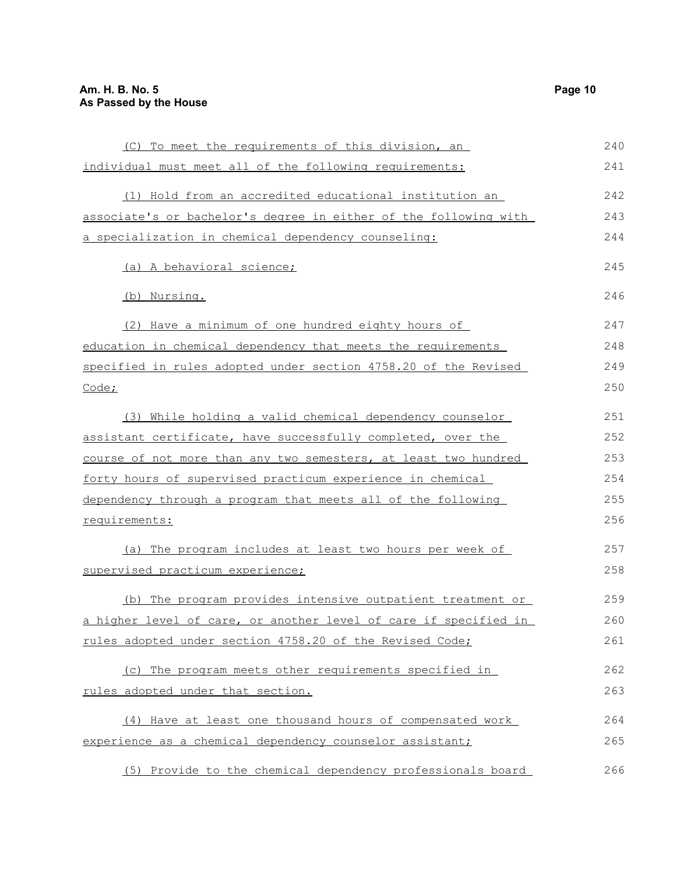| (C) To meet the requirements of this division, an                | 240 |
|------------------------------------------------------------------|-----|
| individual must meet all of the following requirements:          | 241 |
|                                                                  |     |
| (1) Hold from an accredited educational institution an           | 242 |
| associate's or bachelor's degree in either of the following with | 243 |
| a specialization in chemical dependency counseling:              | 244 |
| (a) A behavioral science;                                        | 245 |
|                                                                  |     |
| (b) Nursing.                                                     | 246 |
| (2) Have a minimum of one hundred eighty hours of                | 247 |
| education in chemical dependency that meets the requirements     | 248 |
| specified in rules adopted under section 4758.20 of the Revised  | 249 |
| Code;                                                            | 250 |
|                                                                  |     |
| (3) While holding a valid chemical dependency counselor          | 251 |
| assistant certificate, have successfully completed, over the     | 252 |
| course of not more than any two semesters, at least two hundred  | 253 |
| forty hours of supervised practicum experience in chemical       | 254 |
| dependency through a program that meets all of the following     | 255 |
| requirements:                                                    | 256 |
|                                                                  |     |
| (a) The program includes at least two hours per week of          | 257 |
| supervised practicum experience;                                 | 258 |
| (b) The program provides intensive outpatient treatment or       | 259 |
| a higher level of care, or another level of care if specified in | 260 |
| rules adopted under section 4758.20 of the Revised Code;         | 261 |
|                                                                  |     |
| (c) The program meets other requirements specified in            | 262 |
| rules adopted under that section.                                | 263 |
| (4) Have at least one thousand hours of compensated work         | 264 |
| experience as a chemical dependency counselor assistant;         | 265 |
|                                                                  |     |
| (5) Provide to the chemical dependency professionals board       | 266 |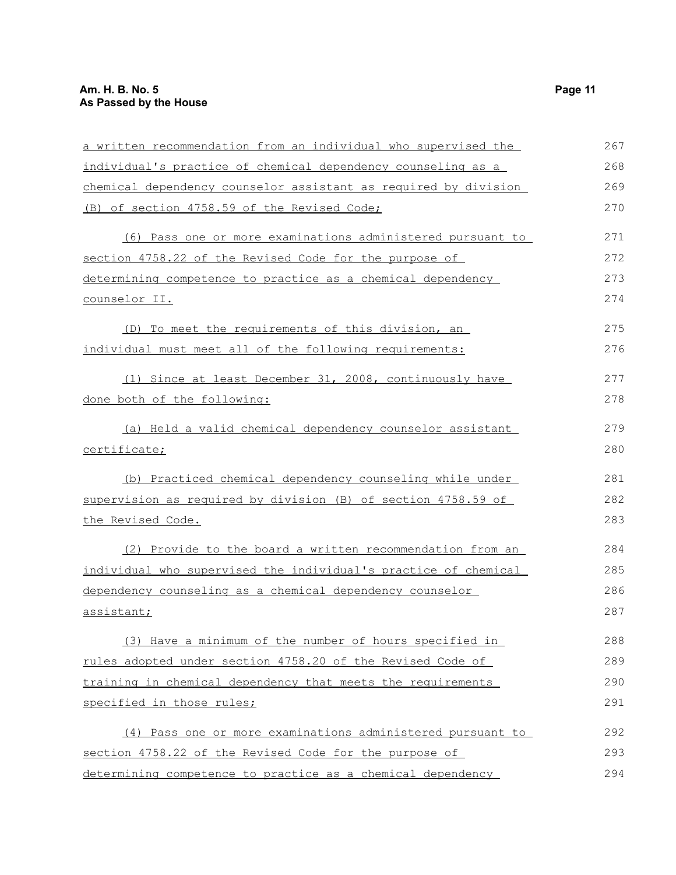| a written recommendation from an individual who supervised the  | 267 |
|-----------------------------------------------------------------|-----|
| individual's practice of chemical dependency counseling as a    | 268 |
| chemical dependency counselor assistant as required by division | 269 |
| (B) of section 4758.59 of the Revised Code;                     | 270 |
| (6) Pass one or more examinations administered pursuant to      | 271 |
| section 4758.22 of the Revised Code for the purpose of          | 272 |
| determining competence to practice as a chemical dependency     | 273 |
| counselor II.                                                   | 274 |
| (D) To meet the requirements of this division, an               | 275 |
| individual must meet all of the following requirements:         | 276 |
| (1) Since at least December 31, 2008, continuously have         | 277 |
| done both of the following:                                     | 278 |
| (a) Held a valid chemical dependency counselor assistant        | 279 |
| certificate;                                                    | 280 |
| (b) Practiced chemical dependency counseling while under        | 281 |
| supervision as required by division (B) of section 4758.59 of   | 282 |
| the Revised Code.                                               | 283 |
| (2) Provide to the board a written recommendation from an       | 284 |
| individual who supervised the individual's practice of chemical | 285 |
| dependency counseling as a chemical dependency counselor        | 286 |
| assistant;                                                      | 287 |
| (3) Have a minimum of the number of hours specified in          | 288 |
| rules adopted under section 4758.20 of the Revised Code of      | 289 |
| training in chemical dependency that meets the requirements     | 290 |
| specified in those rules;                                       | 291 |
| (4) Pass one or more examinations administered pursuant to      | 292 |
| section 4758.22 of the Revised Code for the purpose of          | 293 |
| determining competence to practice as a chemical dependency     | 294 |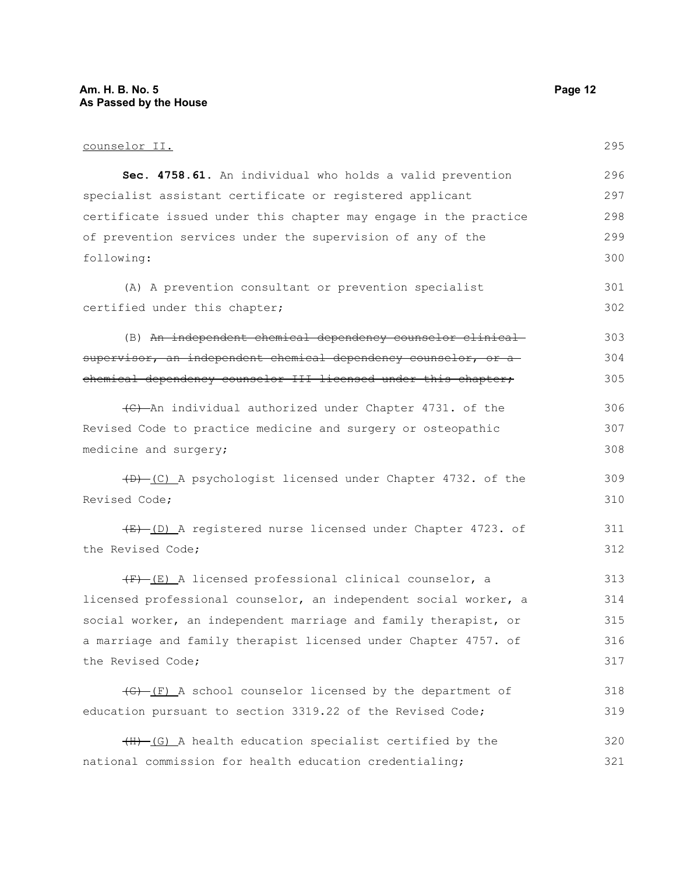## **Am. H. B. No. 5 Page 12 As Passed by the House**

# counselor II.

| Sec. 4758.61. An individual who holds a valid prevention              | 296 |
|-----------------------------------------------------------------------|-----|
| specialist assistant certificate or registered applicant              | 297 |
| certificate issued under this chapter may engage in the practice      | 298 |
| of prevention services under the supervision of any of the            | 299 |
| following:                                                            | 300 |
| (A) A prevention consultant or prevention specialist                  | 301 |
| certified under this chapter;                                         | 302 |
| (B) An independent chemical dependency counselor clinical             | 303 |
| supervisor, an independent chemical dependency counselor, or a        | 304 |
| chemical dependency counselor III licensed under this chapter,        | 305 |
| (C) An individual authorized under Chapter 4731. of the               | 306 |
| Revised Code to practice medicine and surgery or osteopathic          | 307 |
| medicine and surgery;                                                 | 308 |
| (D) (C) A psychologist licensed under Chapter 4732. of the            | 309 |
| Revised Code;                                                         | 310 |
| (E) (D) A registered nurse licensed under Chapter 4723. of            | 311 |
| the Revised Code;                                                     | 312 |
| $(F)$ (E) A licensed professional clinical counselor, a               | 313 |
| licensed professional counselor, an independent social worker, a      | 314 |
| social worker, an independent marriage and family therapist, or       | 315 |
| a marriage and family therapist licensed under Chapter 4757. of       | 316 |
| the Revised Code;                                                     | 317 |
| $\overline{(G)}$ (F) A school counselor licensed by the department of | 318 |
| education pursuant to section 3319.22 of the Revised Code;            | 319 |
| (H)-(G) A health education specialist certified by the                | 320 |
| national commission for health education credentialing;               | 321 |
|                                                                       |     |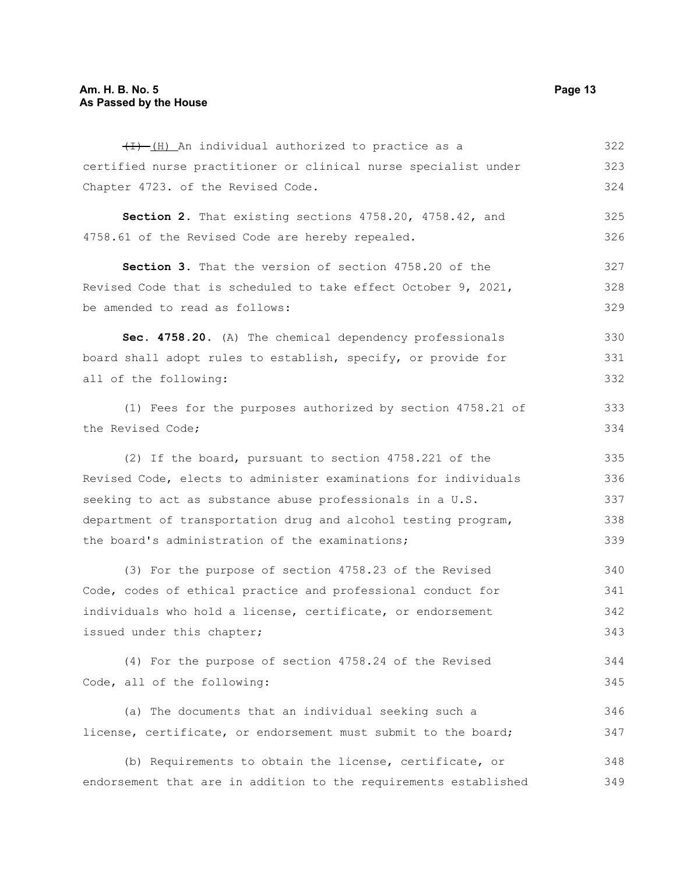$(H)$  (H) An individual authorized to practice as a certified nurse practitioner or clinical nurse specialist under Chapter 4723. of the Revised Code. **Section 2.** That existing sections 4758.20, 4758.42, and 4758.61 of the Revised Code are hereby repealed. **Section 3.** That the version of section 4758.20 of the Revised Code that is scheduled to take effect October 9, 2021, be amended to read as follows: **Sec. 4758.20.** (A) The chemical dependency professionals board shall adopt rules to establish, specify, or provide for all of the following: (1) Fees for the purposes authorized by section 4758.21 of the Revised Code; (2) If the board, pursuant to section 4758.221 of the Revised Code, elects to administer examinations for individuals seeking to act as substance abuse professionals in a U.S. department of transportation drug and alcohol testing program, the board's administration of the examinations; (3) For the purpose of section 4758.23 of the Revised Code, codes of ethical practice and professional conduct for individuals who hold a license, certificate, or endorsement issued under this chapter; (4) For the purpose of section 4758.24 of the Revised Code, all of the following: (a) The documents that an individual seeking such a license, certificate, or endorsement must submit to the board; (b) Requirements to obtain the license, certificate, or endorsement that are in addition to the requirements established 322 323 324 325 326 327 328 329 330 331 332 333 334 335 336 337 338 339 340 341 342 343 344 345 346 347 348 349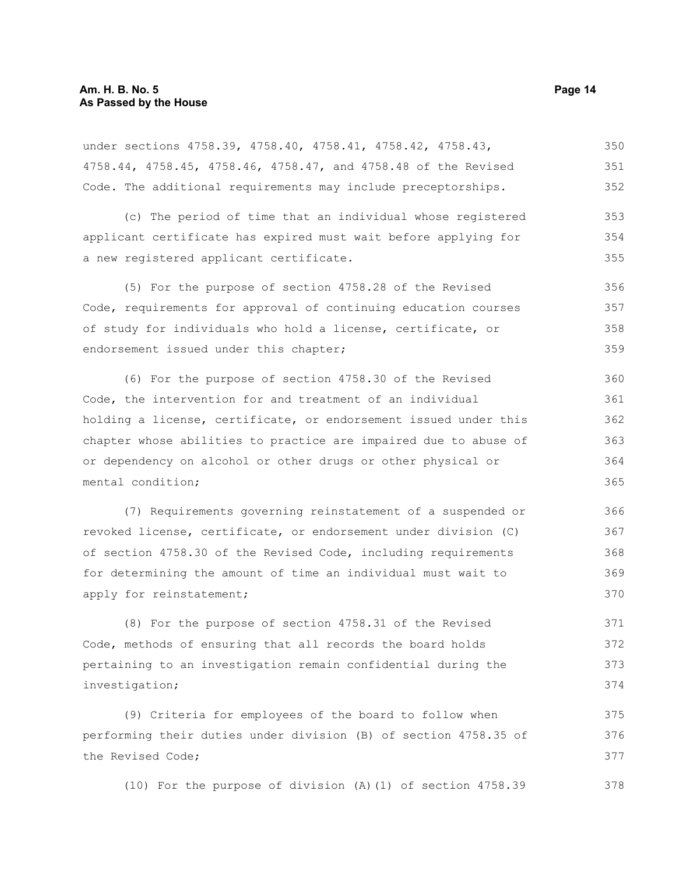under sections 4758.39, 4758.40, 4758.41, 4758.42, 4758.43, 4758.44, 4758.45, 4758.46, 4758.47, and 4758.48 of the Revised Code. The additional requirements may include preceptorships. 350 351 352

(c) The period of time that an individual whose registered applicant certificate has expired must wait before applying for a new registered applicant certificate. 353 354 355

(5) For the purpose of section 4758.28 of the Revised Code, requirements for approval of continuing education courses of study for individuals who hold a license, certificate, or endorsement issued under this chapter; 356 357 358 359

(6) For the purpose of section 4758.30 of the Revised Code, the intervention for and treatment of an individual holding a license, certificate, or endorsement issued under this chapter whose abilities to practice are impaired due to abuse of or dependency on alcohol or other drugs or other physical or mental condition; 360 361 362 363 364 365

(7) Requirements governing reinstatement of a suspended or revoked license, certificate, or endorsement under division (C) of section 4758.30 of the Revised Code, including requirements for determining the amount of time an individual must wait to apply for reinstatement; 366 367 368 369 370

(8) For the purpose of section 4758.31 of the Revised Code, methods of ensuring that all records the board holds pertaining to an investigation remain confidential during the investigation; 371 372 373 374

(9) Criteria for employees of the board to follow when performing their duties under division (B) of section 4758.35 of the Revised Code; 375 376 377

(10) For the purpose of division (A)(1) of section 4758.39 378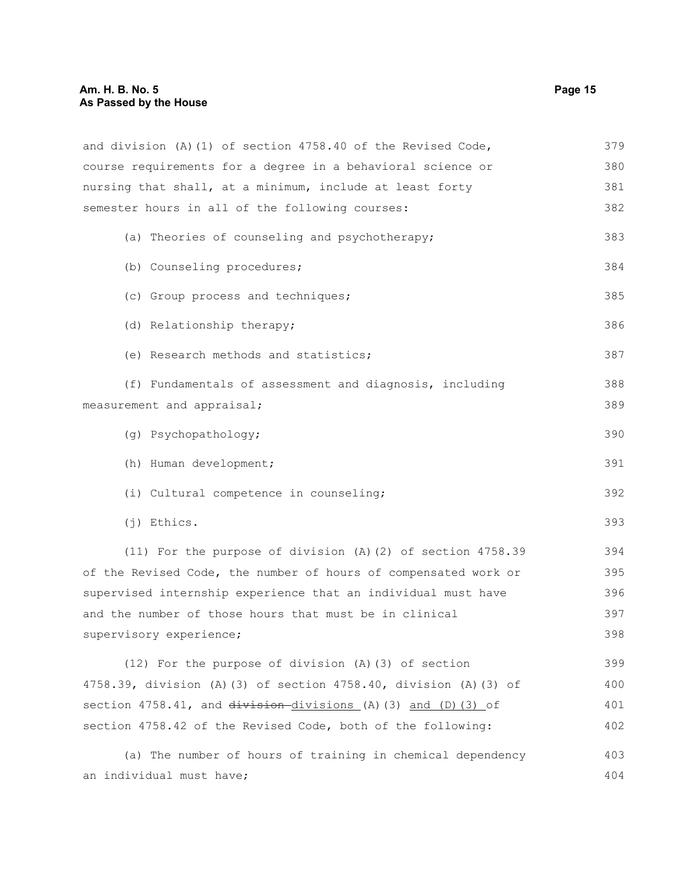## **Am. H. B. No. 5 Page 15 As Passed by the House**

| and division (A) (1) of section 4758.40 of the Revised Code,        | 379 |
|---------------------------------------------------------------------|-----|
| course requirements for a degree in a behavioral science or         | 380 |
| nursing that shall, at a minimum, include at least forty            | 381 |
| semester hours in all of the following courses:                     |     |
| (a) Theories of counseling and psychotherapy;                       | 383 |
| (b) Counseling procedures;                                          | 384 |
| (c) Group process and techniques;                                   | 385 |
| (d) Relationship therapy;                                           | 386 |
| (e) Research methods and statistics;                                | 387 |
| (f) Fundamentals of assessment and diagnosis, including             | 388 |
| measurement and appraisal;                                          | 389 |
| (g) Psychopathology;                                                | 390 |
| (h) Human development;                                              | 391 |
| (i) Cultural competence in counseling;                              | 392 |
| $(j)$ Ethics.                                                       | 393 |
| (11) For the purpose of division (A) (2) of section 4758.39         | 394 |
| of the Revised Code, the number of hours of compensated work or     | 395 |
| supervised internship experience that an individual must have       | 396 |
| and the number of those hours that must be in clinical              | 397 |
| supervisory experience;                                             | 398 |
| (12) For the purpose of division (A) (3) of section                 | 399 |
| 4758.39, division (A) (3) of section 4758.40, division (A) (3) of   | 400 |
| section $4758.41$ , and $division-divisions$ (A) (3) and (D) (3) of | 401 |
| section 4758.42 of the Revised Code, both of the following:         | 402 |
| (a) The number of hours of training in chemical dependency          | 403 |
| an individual must have;                                            | 404 |
|                                                                     |     |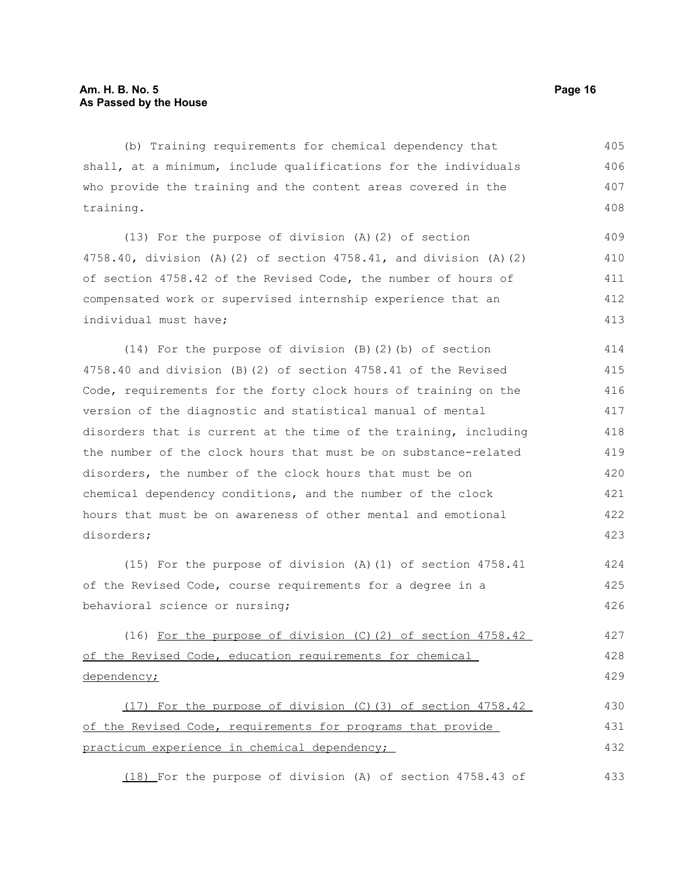(b) Training requirements for chemical dependency that shall, at a minimum, include qualifications for the individuals who provide the training and the content areas covered in the training. 405 406 407 408

(13) For the purpose of division (A)(2) of section 4758.40, division (A)(2) of section 4758.41, and division (A)(2) of section 4758.42 of the Revised Code, the number of hours of compensated work or supervised internship experience that an individual must have; 409 410 411 412 413

(14) For the purpose of division (B)(2)(b) of section 4758.40 and division (B)(2) of section 4758.41 of the Revised Code, requirements for the forty clock hours of training on the version of the diagnostic and statistical manual of mental disorders that is current at the time of the training, including the number of the clock hours that must be on substance-related disorders, the number of the clock hours that must be on chemical dependency conditions, and the number of the clock hours that must be on awareness of other mental and emotional disorders; 414 415 416 417 418 419 420 421 422 423

(15) For the purpose of division (A)(1) of section 4758.41 of the Revised Code, course requirements for a degree in a behavioral science or nursing; 424 425 426

(16) For the purpose of division (C)(2) of section 4758.42 of the Revised Code, education requirements for chemical dependency; 427 428 429

(17) For the purpose of division (C)(3) of section 4758.42 of the Revised Code, requirements for programs that provide practicum experience in chemical dependency; 430 431 432

(18) For the purpose of division (A) of section 4758.43 of 433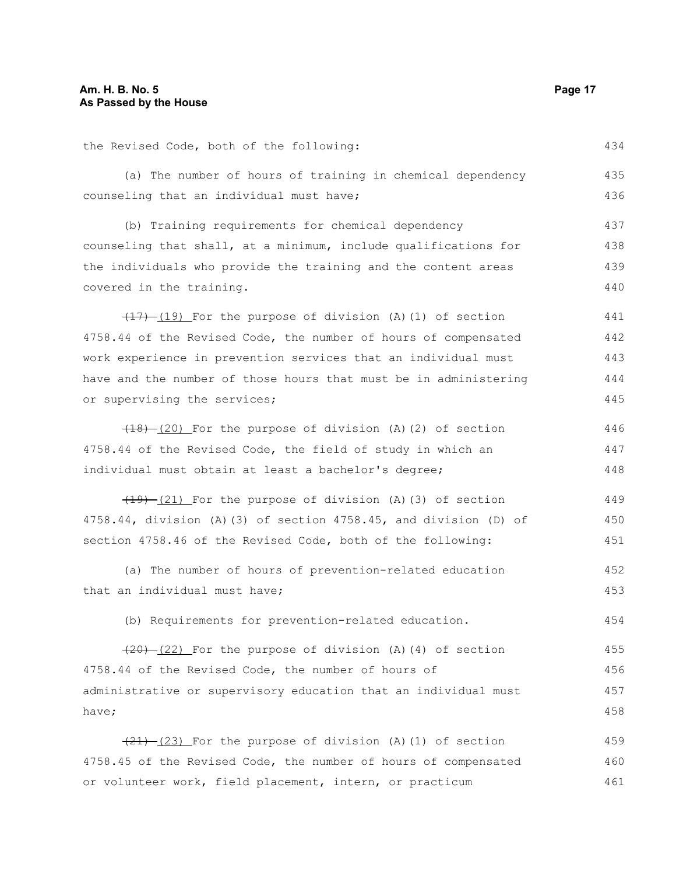the Revised Code, both of the following: (a) The number of hours of training in chemical dependency counseling that an individual must have; (b) Training requirements for chemical dependency counseling that shall, at a minimum, include qualifications for the individuals who provide the training and the content areas covered in the training.  $(17)$   $(19)$  For the purpose of division (A)(1) of section 4758.44 of the Revised Code, the number of hours of compensated work experience in prevention services that an individual must have and the number of those hours that must be in administering or supervising the services; (18) (20) For the purpose of division (A)(2) of section 4758.44 of the Revised Code, the field of study in which an individual must obtain at least a bachelor's degree;  $(19)$   $(21)$  For the purpose of division (A)(3) of section 4758.44, division (A)(3) of section 4758.45, and division (D) of section 4758.46 of the Revised Code, both of the following: (a) The number of hours of prevention-related education that an individual must have; (b) Requirements for prevention-related education.  $(20)$   $(22)$  For the purpose of division (A)(4) of section 4758.44 of the Revised Code, the number of hours of administrative or supervisory education that an individual must have;  $(21)$   $(23)$  For the purpose of division (A)(1) of section 4758.45 of the Revised Code, the number of hours of compensated or volunteer work, field placement, intern, or practicum 434 435 436 437 438 439 440 441 442 443 444 445 446 447 448 449 450 451 452 453 454 455 456 457 458 459 460 461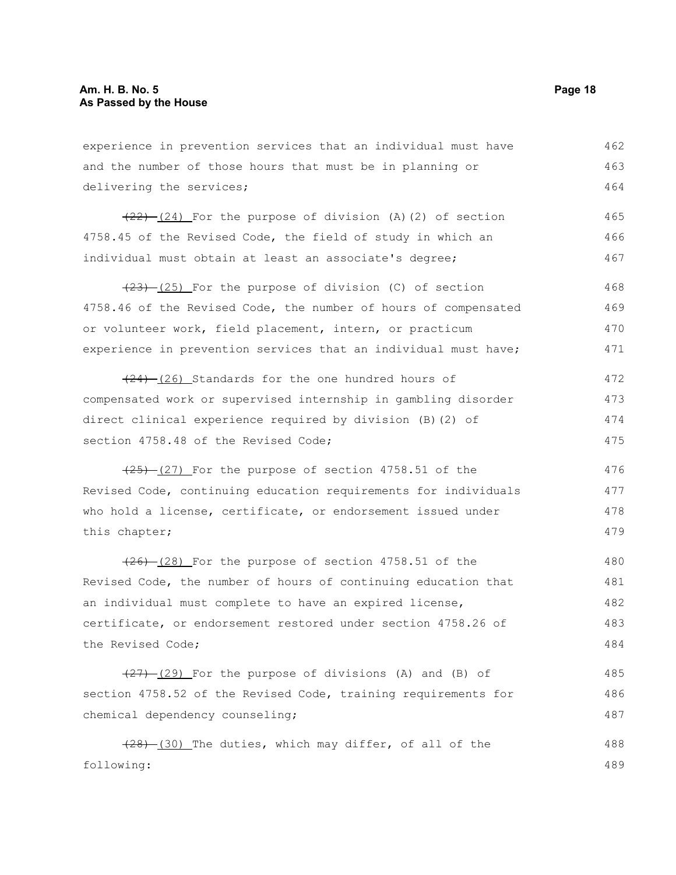experience in prevention services that an individual must have and the number of those hours that must be in planning or delivering the services; 462 463 464

 $(22)$   $(24)$  For the purpose of division (A)(2) of section 4758.45 of the Revised Code, the field of study in which an individual must obtain at least an associate's degree; 465 466 467

 $(23)$   $(25)$  For the purpose of division (C) of section 4758.46 of the Revised Code, the number of hours of compensated or volunteer work, field placement, intern, or practicum experience in prevention services that an individual must have; 468 469 470 471

 $(24)$  (26) Standards for the one hundred hours of compensated work or supervised internship in gambling disorder direct clinical experience required by division (B)(2) of section 4758.48 of the Revised Code; 472 473 474 475

 $(25)$  (27) For the purpose of section 4758.51 of the Revised Code, continuing education requirements for individuals who hold a license, certificate, or endorsement issued under this chapter;

 $(26)$   $(28)$  For the purpose of section 4758.51 of the Revised Code, the number of hours of continuing education that an individual must complete to have an expired license, certificate, or endorsement restored under section 4758.26 of the Revised Code; 480 481 482 483 484

 $(27)$   $(29)$  For the purpose of divisions (A) and (B) of section 4758.52 of the Revised Code, training requirements for chemical dependency counseling; 485 486 487

 $(28)$   $(30)$  The duties, which may differ, of all of the following: 488 489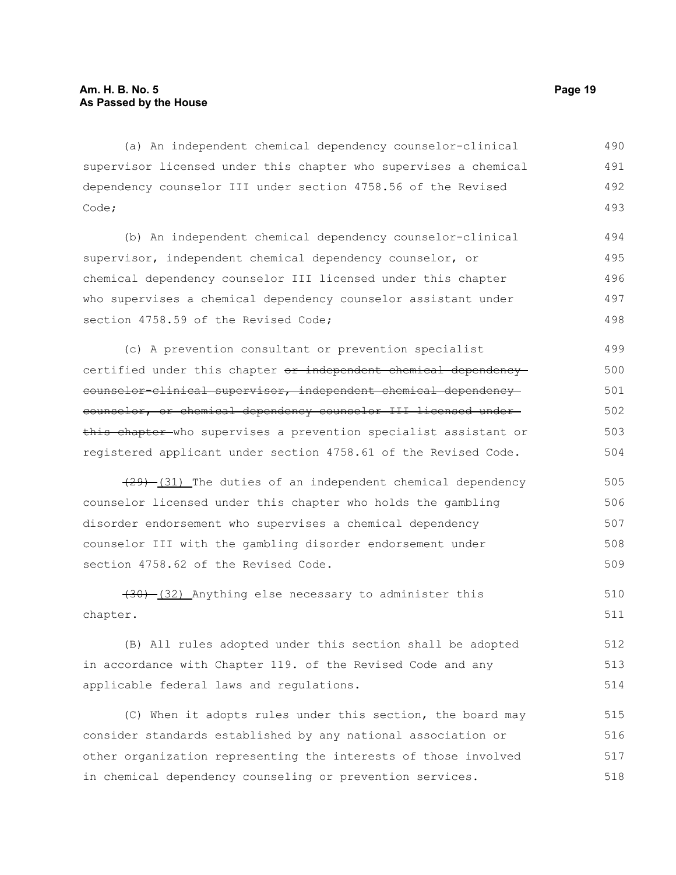(a) An independent chemical dependency counselor-clinical supervisor licensed under this chapter who supervises a chemical dependency counselor III under section 4758.56 of the Revised Code; 490 491 492 493

(b) An independent chemical dependency counselor-clinical supervisor, independent chemical dependency counselor, or chemical dependency counselor III licensed under this chapter who supervises a chemical dependency counselor assistant under section 4758.59 of the Revised Code: 494 495 496 497 498

(c) A prevention consultant or prevention specialist certified under this chapter or independent chemical dependency counselor-clinical supervisor, independent chemical dependency counselor, or chemical dependency counselor III licensed under this chapter who supervises a prevention specialist assistant or registered applicant under section 4758.61 of the Revised Code. 499 500 501 502 503 504

 $(29)$  (31) The duties of an independent chemical dependency counselor licensed under this chapter who holds the gambling disorder endorsement who supervises a chemical dependency counselor III with the gambling disorder endorsement under section 4758.62 of the Revised Code. 505 506 507 508 509

 $(30)$   $(32)$  Anything else necessary to administer this chapter. 510 511

(B) All rules adopted under this section shall be adopted in accordance with Chapter 119. of the Revised Code and any applicable federal laws and regulations. 512 513 514

(C) When it adopts rules under this section, the board may consider standards established by any national association or other organization representing the interests of those involved in chemical dependency counseling or prevention services. 515 516 517 518